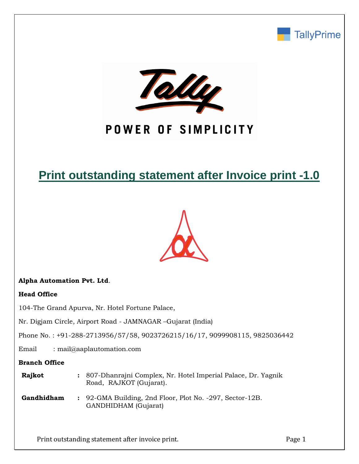



# POWER OF SIMPLICITY

# **Print outstanding statement after Invoice print -1.0**



## **Alpha Automation Pvt. Ltd**.

#### **Head Office**

104-The Grand Apurva, Nr. Hotel Fortune Palace,

Nr. Digjam Circle, Airport Road - JAMNAGAR –Gujarat (India)

Phone No. : +91-288-2713956/57/58, 9023726215/16/17, 9099908115, 9825036442

Email : mail@aaplautomation.com

### **Branch Office**

| Rajkot | : 807-Dhanrajni Complex, Nr. Hotel Imperial Palace, Dr. Yagnik |
|--------|----------------------------------------------------------------|
|        | Road, RAJKOT (Gujarat).                                        |
|        |                                                                |

**Gandhidham :** 92-GMA Building, 2nd Floor, Plot No. -297, Sector-12B. GANDHIDHAM (Gujarat)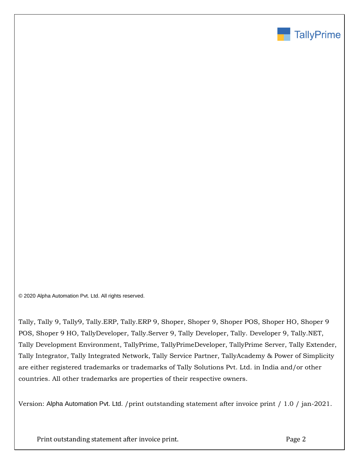

© 2020 Alpha Automation Pvt. Ltd. All rights reserved.

Tally, Tally 9, Tally9, Tally.ERP, Tally.ERP 9, Shoper, Shoper 9, Shoper POS, Shoper HO, Shoper 9 POS, Shoper 9 HO, TallyDeveloper, Tally.Server 9, Tally Developer, Tally. Developer 9, Tally.NET, Tally Development Environment, TallyPrime, TallyPrimeDeveloper, TallyPrime Server, Tally Extender, Tally Integrator, Tally Integrated Network, Tally Service Partner, TallyAcademy & Power of Simplicity are either registered trademarks or trademarks of Tally Solutions Pvt. Ltd. in India and/or other countries. All other trademarks are properties of their respective owners.

Version: Alpha Automation Pvt. Ltd. /print outstanding statement after invoice print / 1.0 / jan-2021.

Print outstanding statement after invoice print. The principal page 2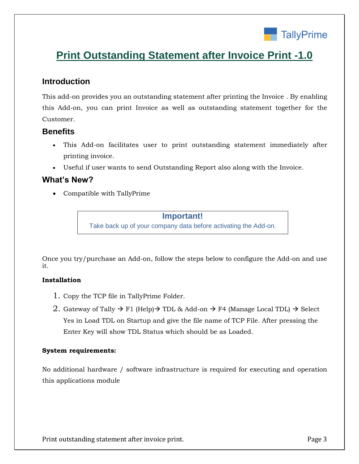

# **Print Outstanding Statement after Invoice Print -1.0**

# **Introduction**

This add-on provides you an outstanding statement after printing the Invoice . By enabling this Add-on, you can print Invoice as well as outstanding statement together for the Customer.

## **Benefits**

- This Add-on facilitates user to print outstanding statement immediately after printing invoice.
- Useful if user wants to send Outstanding Report also along with the Invoice.

# **What's New?**

Compatible with TallyPrime

### **Important!**

Take back up of your company data before activating the Add-on.

Once you try/purchase an Add-on, follow the steps below to configure the Add-on and use it.

## **Installation**

- 1. Copy the TCP file in TallyPrime Folder.
- 2. Gateway of Tally  $\rightarrow$  F1 (Help)  $\rightarrow$  TDL & Add-on  $\rightarrow$  F4 (Manage Local TDL)  $\rightarrow$  Select Yes in Load TDL on Startup and give the file name of TCP File. After pressing the Enter Key will show TDL Status which should be as Loaded.

#### **System requirements:**

No additional hardware / software infrastructure is required for executing and operation this applications module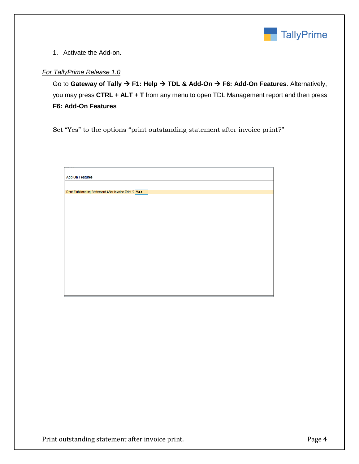

1. Activate the Add-on.

### *For TallyPrime Release 1.0*

Go to Gateway of Tally  $\rightarrow$  F1: Help  $\rightarrow$  TDL & Add-On  $\rightarrow$  F6: Add-On Features. Alternatively, you may press **CTRL + ALT + T** from any menu to open TDL Management report and then press **F6: Add-On Features**

Set "Yes" to the options "print outstanding statement after invoice print?"

| <b>Add-On Features</b>                                |
|-------------------------------------------------------|
|                                                       |
|                                                       |
| Print Outstanding Statement After Invoice Print ? Yes |
|                                                       |
|                                                       |
|                                                       |
|                                                       |
|                                                       |
|                                                       |
|                                                       |
|                                                       |
|                                                       |
|                                                       |
|                                                       |
|                                                       |
|                                                       |
|                                                       |
|                                                       |
|                                                       |
|                                                       |
|                                                       |
|                                                       |
|                                                       |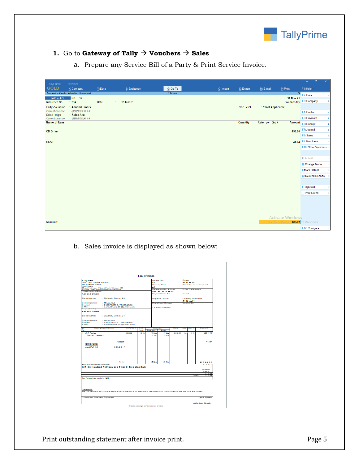

## **1.** Go to **Gateway of Tally**  $\rightarrow$  **Vouchers**  $\rightarrow$  Sales

a. Prepare any Service Bill of a Party & Print Service Invoice.

| TallyPrime                      | <b>MANAGE</b>                                    |         |                 |          |           |                    |                    |                  | $\sigma$<br>$\sim$ 10 $\pm$ | $\propto$  |
|---------------------------------|--------------------------------------------------|---------|-----------------|----------|-----------|--------------------|--------------------|------------------|-----------------------------|------------|
| <b>GOLD</b>                     | K: Company                                       | Y: Data | Z: Exchange     | G: Go To | O: Import | E: Export          | M: E-mail          | P: Print         | F1: Help ·                  |            |
|                                 | <b>Accounting Voucher Alteration (Secondary)</b> |         |                 | E System |           |                    |                    | $\mathbf{x}$     | F <sub>2</sub> : Date       | $\epsilon$ |
| Sales - GST<br>Reference No     | No. 35<br>: 234                                  | Date    | 31-Mar-21<br>÷. |          |           |                    |                    | 31-Mar-21        | Wednesday F3: Company       |            |
| Party A/c name                  | : Aanand Liners                                  |         |                 |          |           | <b>Price Level</b> | : ◆ Not Applicable |                  |                             |            |
| Current balance                 | 8,82,55,57,30,18,978.88 Cr                       |         |                 |          |           |                    |                    |                  | F4: Contra                  |            |
| Sales ledger<br>Current balance | : Sales Acc<br>8,82,54,48,10,95,967.20 Dr        |         |                 |          |           |                    |                    |                  | F5: Payment                 |            |
| <b>Name of Item</b>             |                                                  |         |                 |          |           | <b>Quantity</b>    | Rate per Disc %    | <b>Amount</b>    | F6: Receipt                 |            |
|                                 |                                                  |         |                 |          |           |                    |                    |                  |                             |            |
| <b>CD Drive</b>                 |                                                  |         |                 |          |           |                    |                    | 456.00           | F7: Journal                 |            |
|                                 |                                                  |         |                 |          |           |                    |                    |                  | F8: Sales                   |            |
| <b>CGST</b>                     |                                                  |         |                 |          |           |                    |                    |                  | 41.04 F9: Purchase          |            |
|                                 |                                                  |         |                 |          |           |                    |                    |                  | F10: Other Vouchers         |            |
|                                 |                                                  |         |                 |          |           |                    |                    |                  |                             |            |
|                                 |                                                  |         |                 |          |           |                    |                    |                  | E: Autofill                 |            |
|                                 |                                                  |         |                 |          |           |                    |                    |                  | H: Change Mode              |            |
|                                 |                                                  |         |                 |          |           |                    |                    |                  | I: More Details             |            |
|                                 |                                                  |         |                 |          |           |                    |                    |                  | O: Related Reports          |            |
|                                 |                                                  |         |                 |          |           |                    |                    |                  |                             |            |
|                                 |                                                  |         |                 |          |           |                    |                    |                  | L: Optional                 |            |
|                                 |                                                  |         |                 |          |           |                    |                    |                  | T: Post-Dated               |            |
|                                 |                                                  |         |                 |          |           |                    |                    |                  |                             |            |
|                                 |                                                  |         |                 |          |           |                    |                    |                  |                             |            |
|                                 |                                                  |         |                 |          |           |                    |                    |                  |                             |            |
|                                 |                                                  |         |                 |          |           |                    |                    |                  |                             |            |
| Narration:                      |                                                  |         |                 |          |           |                    |                    | Activate Windows | 497.04 ate Windows.         |            |
|                                 |                                                  |         |                 |          |           |                    |                    |                  |                             |            |
|                                 |                                                  |         |                 |          |           |                    |                    |                  | F12: Configure              |            |

b. Sales invoice is displayed as shown below:

| 36<br><b>Delivery Note</b><br>46<br><b>Nelenence No. &amp; Dale.</b><br>234 dt. 31-M ar-21<br><b>Buyer's Groen No.</b><br>Dispaich Doc No.<br><b>Uispaiched through</b><br><b>Terms of Delvery</b> |                                                       | Useled | 31-M ar. 21<br><b>O her Relenences</b><br>Delivery Note Dale<br>31-M ar-21<br>Undinglion | ModerTerms of Payment                                                                                                             |
|----------------------------------------------------------------------------------------------------------------------------------------------------------------------------------------------------|-------------------------------------------------------|--------|------------------------------------------------------------------------------------------|-----------------------------------------------------------------------------------------------------------------------------------|
|                                                                                                                                                                                                    |                                                       |        |                                                                                          |                                                                                                                                   |
|                                                                                                                                                                                                    |                                                       |        |                                                                                          |                                                                                                                                   |
|                                                                                                                                                                                                    |                                                       |        |                                                                                          |                                                                                                                                   |
|                                                                                                                                                                                                    |                                                       |        |                                                                                          |                                                                                                                                   |
|                                                                                                                                                                                                    |                                                       |        |                                                                                          |                                                                                                                                   |
|                                                                                                                                                                                                    |                                                       |        |                                                                                          |                                                                                                                                   |
|                                                                                                                                                                                                    |                                                       |        |                                                                                          |                                                                                                                                   |
|                                                                                                                                                                                                    |                                                       |        |                                                                                          |                                                                                                                                   |
|                                                                                                                                                                                                    |                                                       |        |                                                                                          |                                                                                                                                   |
|                                                                                                                                                                                                    |                                                       |        |                                                                                          |                                                                                                                                   |
| Quantity<br>Shipped<br><b>Pallied</b>                                                                                                                                                              | Nаiн                                                  | Det    | U batt                                                                                   | Ampuni                                                                                                                            |
|                                                                                                                                                                                                    |                                                       |        |                                                                                          | 672.22                                                                                                                            |
|                                                                                                                                                                                                    |                                                       |        |                                                                                          |                                                                                                                                   |
| 2 N o<br>2 No                                                                                                                                                                                      |                                                       |        |                                                                                          | <b>7613.26</b>                                                                                                                    |
|                                                                                                                                                                                                    |                                                       |        |                                                                                          | .                                                                                                                                 |
|                                                                                                                                                                                                    |                                                       |        |                                                                                          | <b>Biscon Entire</b>                                                                                                              |
|                                                                                                                                                                                                    |                                                       |        |                                                                                          | <b><i>Value</i></b>                                                                                                               |
|                                                                                                                                                                                                    |                                                       |        | Total:                                                                                   | 572.22<br>572.22                                                                                                                  |
|                                                                                                                                                                                                    |                                                       |        |                                                                                          |                                                                                                                                   |
|                                                                                                                                                                                                    |                                                       |        |                                                                                          |                                                                                                                                   |
|                                                                                                                                                                                                    |                                                       |        |                                                                                          |                                                                                                                                   |
|                                                                                                                                                                                                    |                                                       |        |                                                                                          |                                                                                                                                   |
|                                                                                                                                                                                                    |                                                       |        |                                                                                          |                                                                                                                                   |
|                                                                                                                                                                                                    |                                                       |        |                                                                                          |                                                                                                                                   |
|                                                                                                                                                                                                    |                                                       |        |                                                                                          |                                                                                                                                   |
|                                                                                                                                                                                                    | 2 No<br>$2$ No.<br>2 <sub>N0</sub><br>2 <sub>N0</sub> | 289.00 | No                                                                                       | 1.50<br>We declare that this invoice shows the actual price of the goods described and that all particulars are true and correct. |

Print outstanding statement after invoice print. The example of the state of the Page 5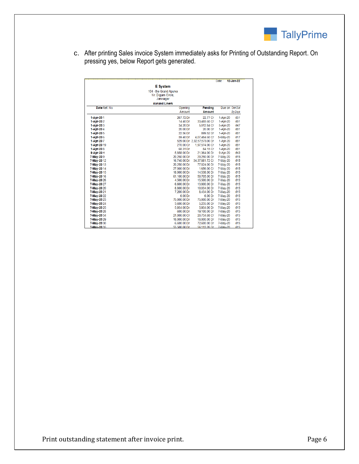

c. After printing Sales invoice System immediately asks for Printing of Outstanding Report. On pressing yes, below Report gets generated.

|                   |                        |                             | Date:      | 12-Jan-22       |
|-------------------|------------------------|-----------------------------|------------|-----------------|
|                   | <b>E</b> System        |                             |            |                 |
|                   | 104 - the Grand Apurva |                             |            |                 |
|                   | Nr. Digiam Circle.     |                             |            |                 |
|                   | Jamnagar               |                             |            |                 |
|                   | <b>Aanand Liners</b>   |                             |            |                 |
| Date Ref. No.     | Opening                | Pending                     |            | Due on Over Due |
|                   | Amount                 | <b>Amount</b>               |            | <b>By Days</b>  |
| 1-Apr-201         | 267.72 Dr              | 22.77 Cr                    | 1-Apr-20   | 651             |
| 1-Apr-202         | 14.40 Dr               | 33,485.60 Cr                | 1-Apr-20   | 651             |
| 1-Apr-203         | 34.20 Dr               | 5,012.84 Cr                 | 5-Apr-20   | 647             |
| 1-Apr-204         | 20.00 Dr               | 20.00 Dr                    | 1-Apr-20   | 651             |
| 1-Apr-205         | 22.56 Dr               | 899.52 Dr                   | 1-Apr-20   | 651             |
| 1-Apr 206         | 59.40 Dr               | 4.07,484.60 Cr              | 5-May-20   | 617             |
| 1-Apr-207         |                        | 529.00 Dr 2,32,57,573.00 Dr | 1-Apr-20   | 651             |
| 1-Apr-2019        | 270.00 Cr              | 1.97.574.00 Cr              | 1-Apr-20   | 651             |
| 1-Apr-208         | 68.31 Dr               | 84.15 Cr                    | 1-Apr-20   | 651             |
| 9-Apr-20 H        | 5.858.00 Dr            | 21,364.00 Dr                | 9-Apr-20   | 643             |
| 7 May 209         | 20,250.00 Dr           | 20,250.00 Dr                | 7-May-20   | 615             |
| 7-May-2012        | 16,740.00 Dr           | 34.37.881.72 Cr             | 7-May-20   | 615             |
| 7-May-2013        | 20.250.00 Dr           | 77,024.00 Dr                | 7-May-20   | 615             |
| 7-May-2014        | 27,000.00 Dr           | 1.656.00 Cr                 | 7-May-20   | 615             |
| 7 May -20 15      | 18,000.00 Dr           | 14,538.00 Dr                | 7-May-20   | 615             |
| 7 May -20 16      | 61,100.00 Dr           | 50,705.00 Dr                | 7-May-20   | 615             |
| 7-May-2026        | 4.500.00 Dr            | 15,500.00 Dr                | 7-May-20   | 615             |
| 7-May-2027        | 6.600.00 Dr            | 13,800.00 Dr                | 7-May-20   | 615             |
| 7-May-2020        | 8.800.00 Dr            | 10.034.00 Dr                | 7-May-20   | 615             |
| 7 May 20 21       | 7,200.00 Dr            | 8,434.00 Dr                 | 7-May-20   | 615             |
| 7-May-2022        | 6.00 Dr                | 6.00 Dr                     | 7-May-20   | 615             |
| 7-May-2023        | 75,000.00 Dr           | 75,000.00 Dr                | 7-May-20   | 615             |
| 7-May-2024        | 3,600.00 Dr            | 5.235.00 Dr                 | 7-May-20   | 615             |
| 7-May-2025        | 5.934.00 Dr            | 5.934.00 Dr                 | 7-May-20   | 615             |
| 7 May 20 28       | 600.00 Dr              | 19,100.00 Dr                | 7-May-20   | 615             |
| 7 May 20 34       | 21,000.00 Cr           | 20,734.68 Cr                | 7-May-20   | 615             |
| 7-May-2029        | 18,000.00 Dr           | 18,000.00 Dr                | 7-May-20   | 615             |
| 7-May-2030        | 6.600.00 Dr            | 72,600.00 Dr                | 7-May-20   | 615             |
| <b>7-May-2035</b> | 55 500 00 Dr           | 56 113 26 Dr                | $7-Mav-20$ | 615             |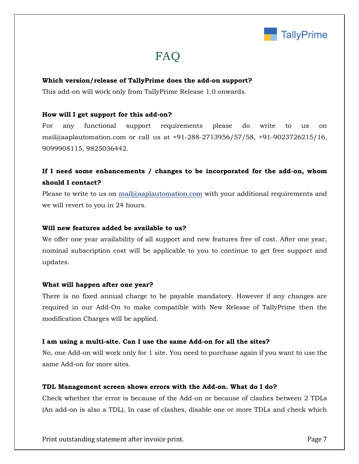

# FAQ

#### **Which version/release of TallyPrime does the add-on support?**

This add-on will work only from TallyPrime Release 1.0 onwards.

#### **How will I get support for this add-on?**

For any functional support requirements please do write to us on mail@aaplautomation.com or call us at +91-288-2713956/57/58, +91-9023726215/16, 9099908115, 9825036442.

# **If I need some enhancements / changes to be incorporated for the add-on, whom should I contact?**

Please to write to us on mail@aaplautomation.com with your additional requirements and we will revert to you in 24 hours.

#### **Will new features added be available to us?**

We offer one year availability of all support and new features free of cost. After one year, nominal subscription cost will be applicable to you to continue to get free support and updates.

#### **What will happen after one year?**

There is no fixed annual charge to be payable mandatory. However if any changes are required in our Add-On to make compatible with New Release of TallyPrime then the modification Charges will be applied.

#### **I am using a multi-site. Can I use the same Add-on for all the sites?**

No, one Add-on will work only for 1 site. You need to purchase again if you want to use the same Add-on for more sites.

#### **TDL Management screen shows errors with the Add-on. What do I do?**

Check whether the error is because of the Add-on or because of clashes between 2 TDLs (An add-on is also a TDL). In case of clashes, disable one or more TDLs and check which